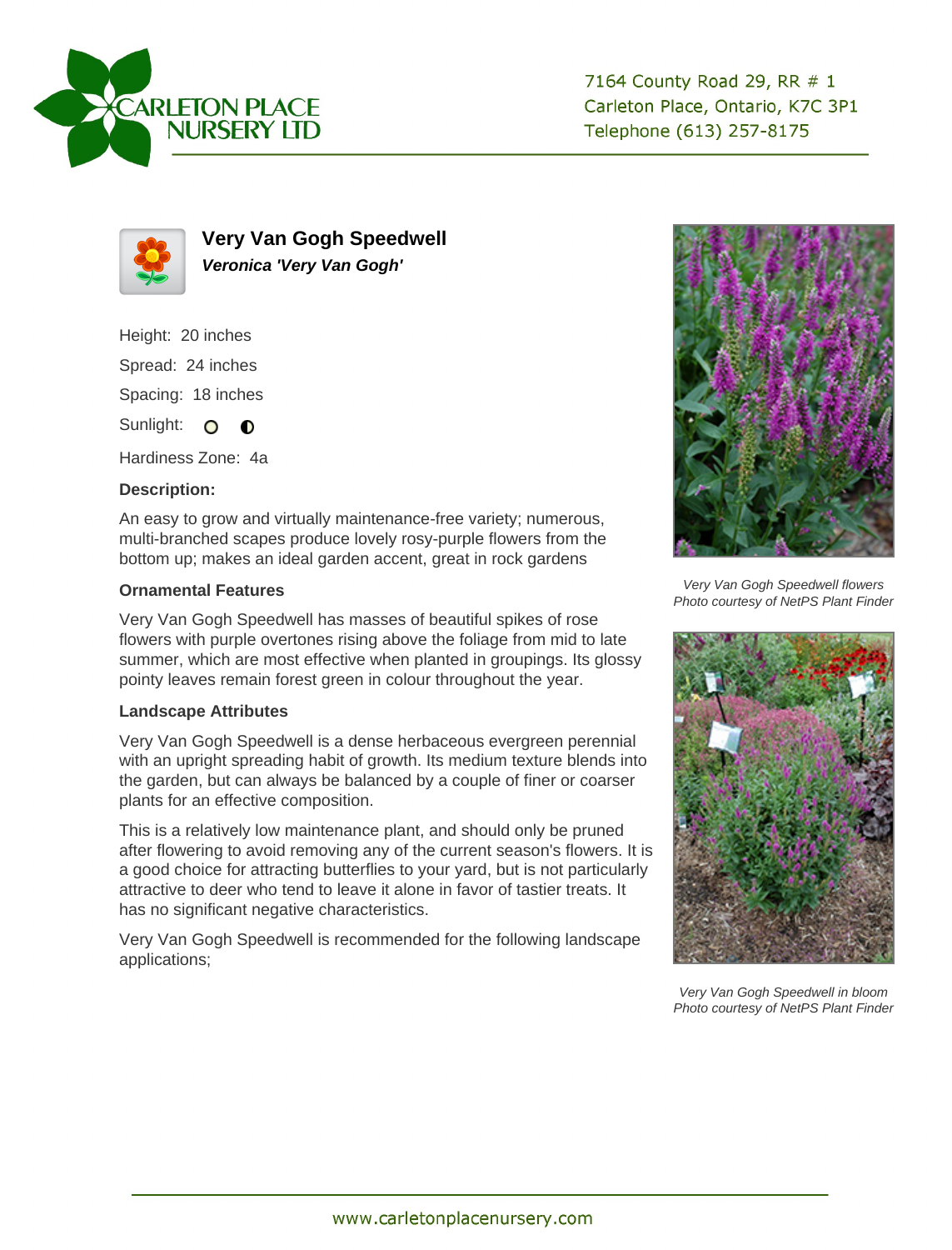

7164 County Road 29, RR # 1 Carleton Place, Ontario, K7C 3P1 Telephone (613) 257-8175



**Very Van Gogh Speedwell Veronica 'Very Van Gogh'**

Height: 20 inches

Spread: 24 inches

Spacing: 18 inches

Sunlight: O O

Hardiness Zone: 4a

## **Description:**

An easy to grow and virtually maintenance-free variety; numerous, multi-branched scapes produce lovely rosy-purple flowers from the bottom up; makes an ideal garden accent, great in rock gardens

## **Ornamental Features**

Very Van Gogh Speedwell has masses of beautiful spikes of rose flowers with purple overtones rising above the foliage from mid to late summer, which are most effective when planted in groupings. Its glossy pointy leaves remain forest green in colour throughout the year.

## **Landscape Attributes**

Very Van Gogh Speedwell is a dense herbaceous evergreen perennial with an upright spreading habit of growth. Its medium texture blends into the garden, but can always be balanced by a couple of finer or coarser plants for an effective composition.

This is a relatively low maintenance plant, and should only be pruned after flowering to avoid removing any of the current season's flowers. It is a good choice for attracting butterflies to your yard, but is not particularly attractive to deer who tend to leave it alone in favor of tastier treats. It has no significant negative characteristics.

Very Van Gogh Speedwell is recommended for the following landscape applications;



Very Van Gogh Speedwell flowers Photo courtesy of NetPS Plant Finder



Very Van Gogh Speedwell in bloom Photo courtesy of NetPS Plant Finder